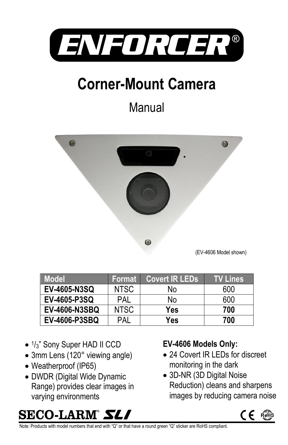

# **Corner-Mount Camera**

## Manual



| <b>Model</b>         | Format      | <b>Covert IR LEDs</b> | <b>TV Lines</b> |
|----------------------|-------------|-----------------------|-----------------|
| EV-4605-N3SQ         | <b>NTSC</b> | N٥                    | 600             |
| EV-4605-P3SQ         | PAL         | No                    | 600             |
| <b>EV-4606-N3SBQ</b> | NTSC        | Yes                   | 700             |
| <b>EV-4606-P3SBQ</b> | PAI         | Yes                   | 700             |

- $1/3$ " Sony Super HAD II CCD
- 3mm Lens (120° viewing angle)
- Weatherproof (IP65)
- DWDR (Digital Wide Dynamic Range) provides clear images in varying environments

## **EV-4606 Models Only:**

- 24 Covert IR LEDs for discreet monitoring in the dark
- 3D-NR (3D Digital Noise Reduction) cleans and sharpens images by reducing camera noise



SECO-LARM® *SLI* 

Note: Products with model numbers that end with "Q" or that have a round green "Q" sticker are RoHS compliant.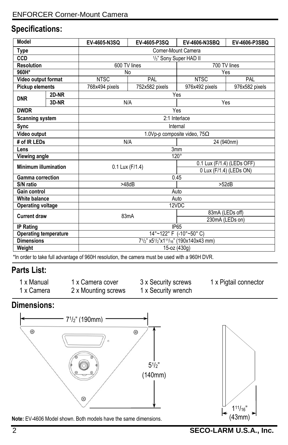#### **Specifications:**

| Model                                             |                 | EV-4605-N3SQ                                         | EV-4605-P3SQ               | EV-4606-N3SBO   | EV-4606-P3SBO  |  |  |
|---------------------------------------------------|-----------------|------------------------------------------------------|----------------------------|-----------------|----------------|--|--|
| Type                                              |                 | Corner-Mount Camera                                  |                            |                 |                |  |  |
| $\overline{CCD}$                                  |                 | 1/3" Sony Super HAD II                               |                            |                 |                |  |  |
| <b>Resolution</b>                                 |                 |                                                      | 600 TV lines               |                 | 700 TV lines   |  |  |
| 960H*                                             |                 | No                                                   |                            | Yes             |                |  |  |
| Video output format                               |                 | <b>NTSC</b>                                          | PAL                        | <b>NTSC</b>     | PAL            |  |  |
| Pickup elements                                   |                 | 768x494 pixels                                       | 752x582 pixels             | 976x492 pixels  | 976x582 pixels |  |  |
| <b>DNR</b>                                        | 2D-NR           | Yes                                                  |                            |                 |                |  |  |
|                                                   | 3D-NR           | N/A                                                  |                            | Yes             |                |  |  |
| <b>DWDR</b>                                       |                 | Yes                                                  |                            |                 |                |  |  |
| <b>Scanning system</b>                            |                 | 2:1 Interlace                                        |                            |                 |                |  |  |
| Sync                                              |                 | Internal                                             |                            |                 |                |  |  |
| Video output                                      |                 | 1.0Vp-p composite video, 75 $\Omega$                 |                            |                 |                |  |  |
| # of IR LEDs                                      |                 | N/A                                                  |                            | 24 (940nm)      |                |  |  |
| Lens                                              | 3 <sub>mm</sub> |                                                      |                            |                 |                |  |  |
| Viewing angle                                     |                 |                                                      | 120°                       |                 |                |  |  |
| <b>Minimum illumination</b>                       | 0.1 Lux (F/1.4) |                                                      | 0.1 Lux (F/1.4) (LEDs OFF) |                 |                |  |  |
|                                                   |                 |                                                      | 0 Lux (F/1.4) (LEDs ON)    |                 |                |  |  |
| Gamma correction                                  |                 | 0.45                                                 |                            |                 |                |  |  |
| S/N ratio                                         |                 |                                                      | >48dB                      |                 | >52dB          |  |  |
| Gain control                                      |                 | Auto                                                 |                            |                 |                |  |  |
| White balance                                     | Auto            |                                                      |                            |                 |                |  |  |
| <b>Operating voltage</b>                          |                 | 12VDC                                                |                            |                 |                |  |  |
| <b>Current draw</b>                               |                 | 83mA                                                 |                            | 83mA (LEDs off) |                |  |  |
|                                                   |                 |                                                      |                            | 230mA (LEDs on) |                |  |  |
| <b>IP Rating</b>                                  |                 | <b>IP65</b>                                          |                            |                 |                |  |  |
| <b>Operating temperature</b><br><b>Dimensions</b> |                 | 14°~122° F (-10°~50° C)                              |                            |                 |                |  |  |
| Weight                                            |                 | 71/2" x51/2"x111/16" (190x140x43 mm)<br>15-oz (430g) |                            |                 |                |  |  |
|                                                   |                 |                                                      |                            |                 |                |  |  |

\*In order to take full advantage of 960H resolution, the camera must be used with a 960H DVR.

## **Parts List:**

| 1 x Manual | 1 x Camera cover    | 3 x Security screws | 1 x Pigtail connector |
|------------|---------------------|---------------------|-----------------------|
| 1 x Camera | 2 x Mounting screws | 1 x Security wrench |                       |

## **Dimensions:**



**Note:** EV-4606 Model shown. Both models have the same dimensions.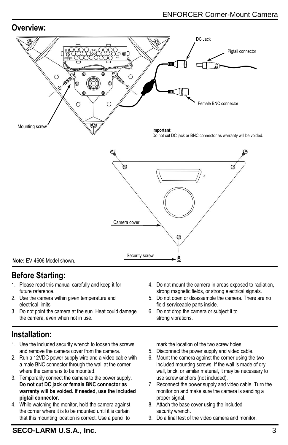#### **Overview:**



## **Before Starting:**

- 1. Please read this manual carefully and keep it for future reference.
- 2. Use the camera within given temperature and electrical limits.
- 3. Do not point the camera at the sun. Heat could damage the camera, even when not in use.

#### **Installation:**

- 1. Use the included security wrench to loosen the screws and remove the camera cover from the camera.
- 2. Run a 12VDC power supply wire and a video cable with a male BNC connector through the wall at the corner where the camera is to be mounted.
- 3. Temporarily connect the camera to the power supply. **Do not cut DC jack or female BNC connector as warranty will be voided. If needed, use the included pigtail connector.**
- 4. While watching the monitor, hold the camera against the corner where it is to be mounted until it is certain that this mounting location is correct. Use a pencil to
- 4. Do not mount the camera in areas exposed to radiation, strong magnetic fields, or strong electrical signals.
- 5. Do not open or disassemble the camera. There are no field-serviceable parts inside.
- 6. Do not drop the camera or subject it to strong vibrations.

mark the location of the two screw holes.

- 5. Disconnect the power supply and video cable.
- 6. Mount the camera against the corner using the two included mounting screws. If the wall is made of dry wall, brick, or similar material, it may be necessary to use screw anchors (not included).
- 7. Reconnect the power supply and video cable. Turn the monitor on and make sure the camera is sending a proper signal.
- 8. Attach the base cover using the included security wrench.
- 9. Do a final test of the video camera and monitor.

#### **SECO-LARM U.S.A., Inc.** 3 **SECO-LARM U.S.A., Inc. 33** 3